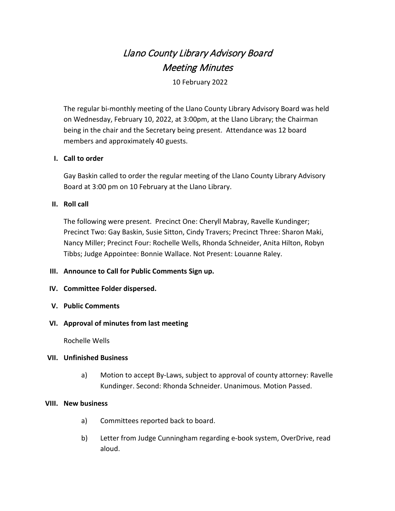# Llano County Library Advisory Board Meeting Minutes

10 February 2022

The regular bi-monthly meeting of the Llano County Library Advisory Board was held on Wednesday, February 10, 2022, at 3:00pm, at the Llano Library; the Chairman being in the chair and the Secretary being present. Attendance was 12 board members and approximately 40 guests.

## **I. Call to order**

Gay Baskin called to order the regular meeting of the Llano County Library Advisory Board at 3:00 pm on 10 February at the Llano Library.

## **II. Roll call**

The following were present. Precinct One: Cheryll Mabray, Ravelle Kundinger; Precinct Two: Gay Baskin, Susie Sitton, Cindy Travers; Precinct Three: Sharon Maki, Nancy Miller; Precinct Four: Rochelle Wells, Rhonda Schneider, Anita Hilton, Robyn Tibbs; Judge Appointee: Bonnie Wallace. Not Present: Louanne Raley.

#### **III. Announce to Call for Public Comments Sign up.**

#### **IV. Committee Folder dispersed.**

**V. Public Comments**

#### **VI. Approval of minutes from last meeting**

Rochelle Wells

#### **VII. Unfinished Business**

a) Motion to accept By-Laws, subject to approval of county attorney: Ravelle Kundinger. Second: Rhonda Schneider. Unanimous. Motion Passed.

#### **VIII. New business**

- a) Committees reported back to board.
- b) Letter from Judge Cunningham regarding e-book system, OverDrive, read aloud.